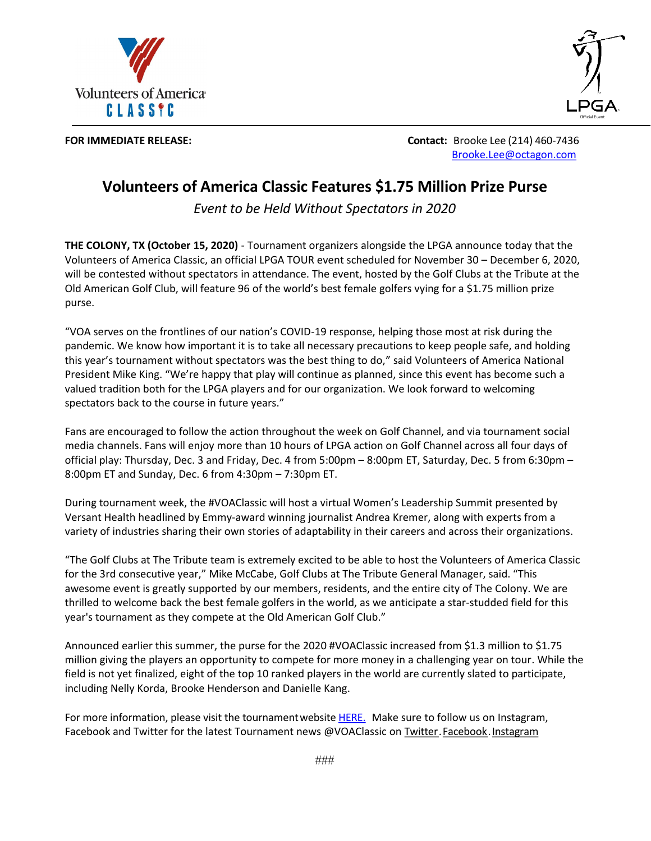



**FOR IMMEDIATE RELEASE: Contact:** Brooke Lee (214) 460-7436 Brooke.Lee@octagon.com

# **Volunteers of America Classic Features \$1.75 Million Prize Purse**

*Event to be Held Without Spectators in 2020*

**THE COLONY, TX (October 15, 2020)** - Tournament organizers alongside the LPGA announce today that the Volunteers of America Classic, an official LPGA TOUR event scheduled for November 30 – December 6, 2020, will be contested without spectators in attendance. The event, hosted by the Golf Clubs at the Tribute at the Old American Golf Club, will feature 96 of the world's best female golfers vying for a \$1.75 million prize purse.

"VOA serves on the frontlines of our nation's COVID-19 response, helping those most at risk during the pandemic. We know how important it is to take all necessary precautions to keep people safe, and holding this year's tournament without spectators was the best thing to do," said Volunteers of America National President Mike King. "We're happy that play will continue as planned, since this event has become such a valued tradition both for the LPGA players and for our organization. We look forward to welcoming spectators back to the course in future years."

Fans are encouraged to follow the action throughout the week on Golf Channel, and via tournament social media channels. Fans will enjoy more than 10 hours of LPGA action on Golf Channel across all four days of official play: Thursday, Dec. 3 and Friday, Dec. 4 from 5:00pm – 8:00pm ET, Saturday, Dec. 5 from 6:30pm – 8:00pm ET and Sunday, Dec. 6 from 4:30pm – 7:30pm ET.

During tournament week, the #VOAClassic will host a virtual Women's Leadership Summit presented by Versant Health headlined by Emmy-award winning journalist Andrea Kremer, along with experts from a variety of industries sharing their own stories of adaptability in their careers and across their organizations.

"The Golf Clubs at The Tribute team is extremely excited to be able to host the Volunteers of America Classic for the 3rd consecutive year," Mike McCabe, Golf Clubs at The Tribute General Manager, said. "This awesome event is greatly supported by our members, residents, and the entire city of The Colony. We are thrilled to welcome back the best female golfers in the world, as we anticipate a star-studded field for this year's tournament as they compete at the Old American Golf Club."

Announced earlier this summer, the purse for the 2020 #VOAClassic increased from \$1.3 million to \$1.75 million giving the players an opportunity to compete for more money in a challenging year on tour. While the field is not yet finalized, eight of the top 10 ranked players in the world are currently slated to participate, including Nelly Korda, Brooke Henderson and Danielle Kang.

For more information, please visit the tournament website HERE. Make sure to follow us on Instagram, Facebook and Twitter for the latest Tournament news @VOAClassic on Twitter.Facebook.Instagram